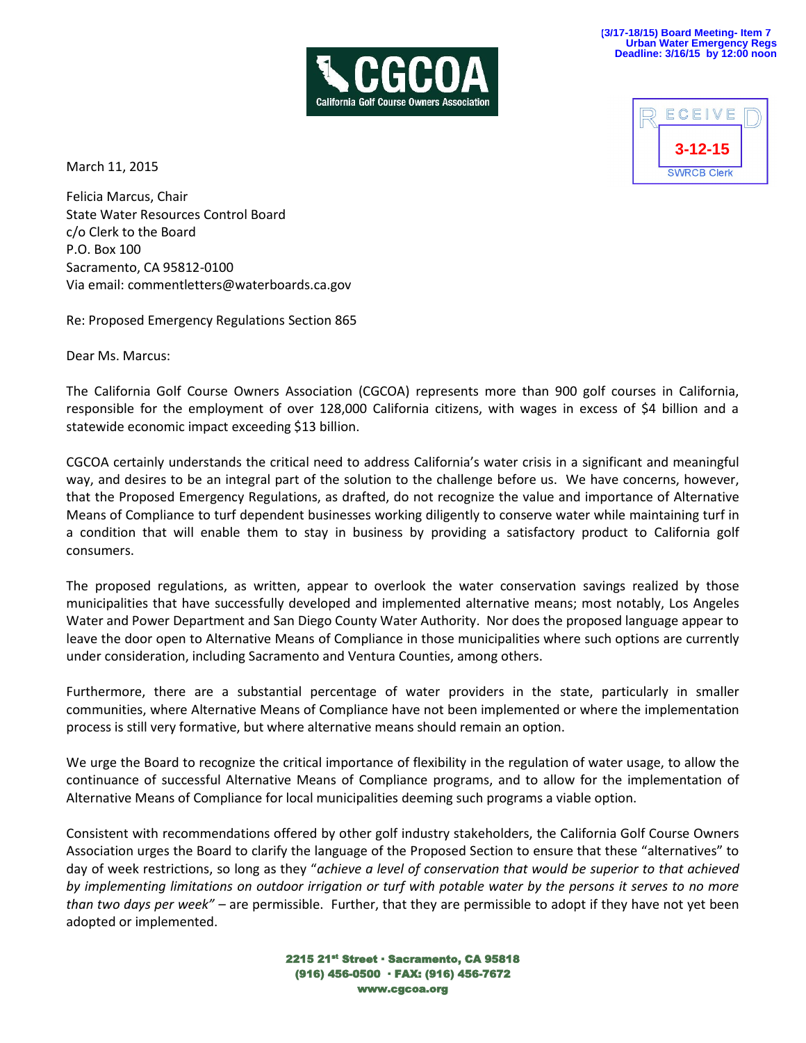



March 11, 2015

Felicia Marcus, Chair State Water Resources Control Board c/o Clerk to the Board P.O. Box 100 Sacramento, CA 95812-0100 Via email: commentletters@waterboards.ca.gov

Re: Proposed Emergency Regulations Section 865

Dear Ms. Marcus:

The California Golf Course Owners Association (CGCOA) represents more than 900 golf courses in California, responsible for the employment of over 128,000 California citizens, with wages in excess of \$4 billion and a statewide economic impact exceeding \$13 billion.

CGCOA certainly understands the critical need to address California's water crisis in a significant and meaningful way, and desires to be an integral part of the solution to the challenge before us. We have concerns, however, that the Proposed Emergency Regulations, as drafted, do not recognize the value and importance of Alternative Means of Compliance to turf dependent businesses working diligently to conserve water while maintaining turf in a condition that will enable them to stay in business by providing a satisfactory product to California golf consumers.

The proposed regulations, as written, appear to overlook the water conservation savings realized by those municipalities that have successfully developed and implemented alternative means; most notably, Los Angeles Water and Power Department and San Diego County Water Authority. Nor does the proposed language appear to leave the door open to Alternative Means of Compliance in those municipalities where such options are currently under consideration, including Sacramento and Ventura Counties, among others.

Furthermore, there are a substantial percentage of water providers in the state, particularly in smaller communities, where Alternative Means of Compliance have not been implemented or where the implementation process is still very formative, but where alternative means should remain an option.

We urge the Board to recognize the critical importance of flexibility in the regulation of water usage, to allow the continuance of successful Alternative Means of Compliance programs, and to allow for the implementation of Alternative Means of Compliance for local municipalities deeming such programs a viable option.

Consistent with recommendations offered by other golf industry stakeholders, the California Golf Course Owners Association urges the Board to clarify the language of the Proposed Section to ensure that these "alternatives" to day of week restrictions, so long as they "*achieve a level of conservation that would be superior to that achieved by implementing limitations on outdoor irrigation or turf with potable water by the persons it serves to no more than two days per week" –* are permissible. Further, that they are permissible to adopt if they have not yet been adopted or implemented.

> 2215 21st Street · Sacramento, CA 95818 (916) 456-0500 · FAX: (916) 456-7672 www.cgcoa.org